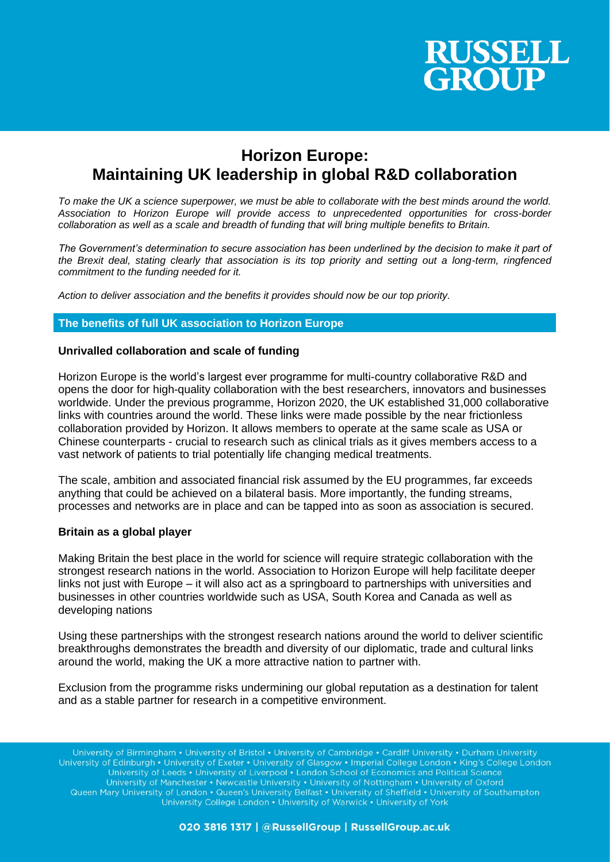

# **Horizon Europe: Maintaining UK leadership in global R&D collaboration**

*To make the UK a science superpower, we must be able to collaborate with the best minds around the world. Association to Horizon Europe will provide access to unprecedented opportunities for cross-border collaboration as well as a scale and breadth of funding that will bring multiple benefits to Britain.* 

*The Government's determination to secure association has been underlined by the decision to make it part of the Brexit deal, stating clearly that association is its top priority and setting out a long-term, ringfenced commitment to the funding needed for it.*

*Action to deliver association and the benefits it provides should now be our top priority.*

### **The benefits of full UK association to Horizon Europe**

#### **Unrivalled collaboration and scale of funding**

Horizon Europe is the world's largest ever programme for multi-country collaborative R&D and opens the door for high-quality collaboration with the best researchers, innovators and businesses worldwide. Under the previous programme, Horizon 2020, the UK established 31,000 collaborative links with countries around the world. These links were made possible by the near frictionless collaboration provided by Horizon. It allows members to operate at the same scale as USA or Chinese counterparts - crucial to research such as clinical trials as it gives members access to a vast network of patients to trial potentially life changing medical treatments.

The scale, ambition and associated financial risk assumed by the EU programmes, far exceeds anything that could be achieved on a bilateral basis. More importantly, the funding streams, processes and networks are in place and can be tapped into as soon as association is secured.

#### **Britain as a global player**

Making Britain the best place in the world for science will require strategic collaboration with the strongest research nations in the world. Association to Horizon Europe will help facilitate deeper links not just with Europe – it will also act as a springboard to partnerships with universities and businesses in other countries worldwide such as USA, South Korea and Canada as well as developing nations

Using these partnerships with the strongest research nations around the world to deliver scientific breakthroughs demonstrates the breadth and diversity of our diplomatic, trade and cultural links around the world, making the UK a more attractive nation to partner with.

Exclusion from the programme risks undermining our global reputation as a destination for talent and as a stable partner for research in a competitive environment.

University of Birmingham • University of Bristol • University of Cambridge • Cardiff University • Durham University University of Edinburgh • University of Exeter • University of Glasgow • Imperial College London • King's College London University of Leeds • University of Liverpool • London School of Economics and Political Science University of Manchester • Newcastle University • University of Nottingham • University of Oxford<br>Queen Mary University of London • Queen's University Belfast • University of Sheffield • University of Southampton University College London • University of Warwick • University of York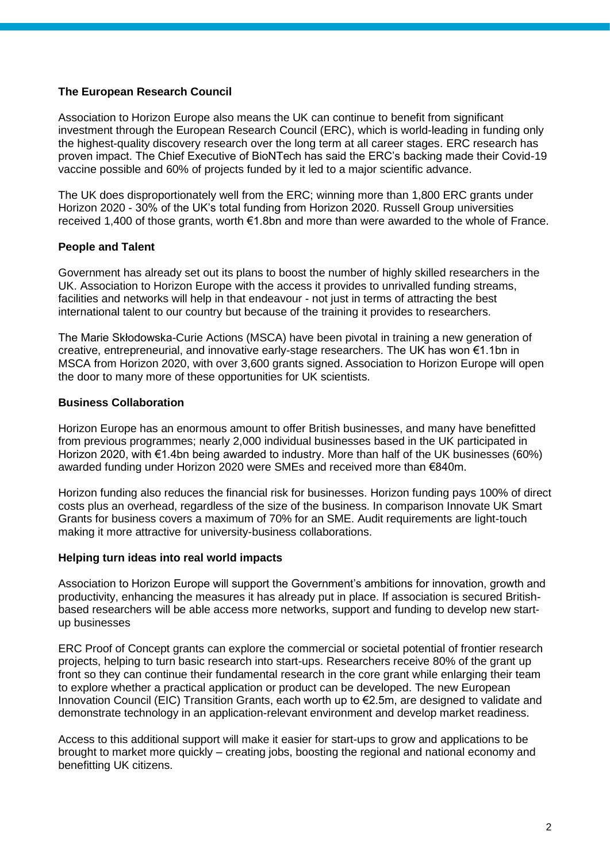# **The European Research Council**

Association to Horizon Europe also means the UK can continue to benefit from significant investment through the European Research Council (ERC), which is world-leading in funding only the highest-quality discovery research over the long term at all career stages. ERC research has proven impact. The Chief Executive of BioNTech has said the ERC's backing made their Covid-19 vaccine possible and 60% of projects funded by it led to a major scientific advance.

The UK does disproportionately well from the ERC; winning more than 1,800 ERC grants under Horizon 2020 - 30% of the UK's total funding from Horizon 2020. Russell Group universities received 1,400 of those grants, worth €1.8bn and more than were awarded to the whole of France.

# **People and Talent**

Government has already set out its plans to boost the number of highly skilled researchers in the UK. Association to Horizon Europe with the access it provides to unrivalled funding streams, facilities and networks will help in that endeavour - not just in terms of attracting the best international talent to our country but because of the training it provides to researchers.

The Marie Skłodowska-Curie Actions (MSCA) have been pivotal in training a new generation of creative, entrepreneurial, and innovative early-stage researchers. The UK has won €1.1bn in MSCA from Horizon 2020, with over 3,600 grants signed. Association to Horizon Europe will open the door to many more of these opportunities for UK scientists.

## **Business Collaboration**

Horizon Europe has an enormous amount to offer British businesses, and many have benefitted from previous programmes; nearly 2,000 individual businesses based in the UK participated in Horizon 2020, with €1.4bn being awarded to industry. More than half of the UK businesses (60%) awarded funding under Horizon 2020 were SMEs and received more than €840m.

Horizon funding also reduces the financial risk for businesses. Horizon funding pays 100% of direct costs plus an overhead, regardless of the size of the business. In comparison Innovate UK Smart Grants for business covers a maximum of 70% for an SME. Audit requirements are light-touch making it more attractive for university-business collaborations.

## **Helping turn ideas into real world impacts**

Association to Horizon Europe will support the Government's ambitions for innovation, growth and productivity, enhancing the measures it has already put in place. If association is secured Britishbased researchers will be able access more networks, support and funding to develop new startup businesses

ERC Proof of Concept grants can explore the commercial or societal potential of frontier research projects, helping to turn basic research into start-ups. Researchers receive 80% of the grant up front so they can continue their fundamental research in the core grant while enlarging their team to explore whether a practical application or product can be developed. The new European Innovation Council (EIC) Transition Grants, each worth up to €2.5m, are designed to validate and demonstrate technology in an application-relevant environment and develop market readiness.

Access to this additional support will make it easier for start-ups to grow and applications to be brought to market more quickly – creating jobs, boosting the regional and national economy and benefitting UK citizens.